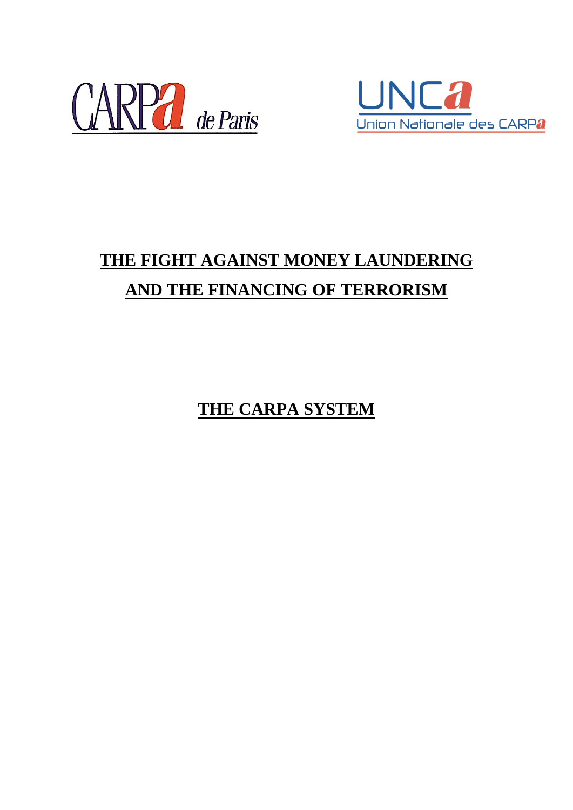



# **THE FIGHT AGAINST MONEY LAUNDERING AND THE FINANCING OF TERRORISM**

**THE CARPA SYSTEM**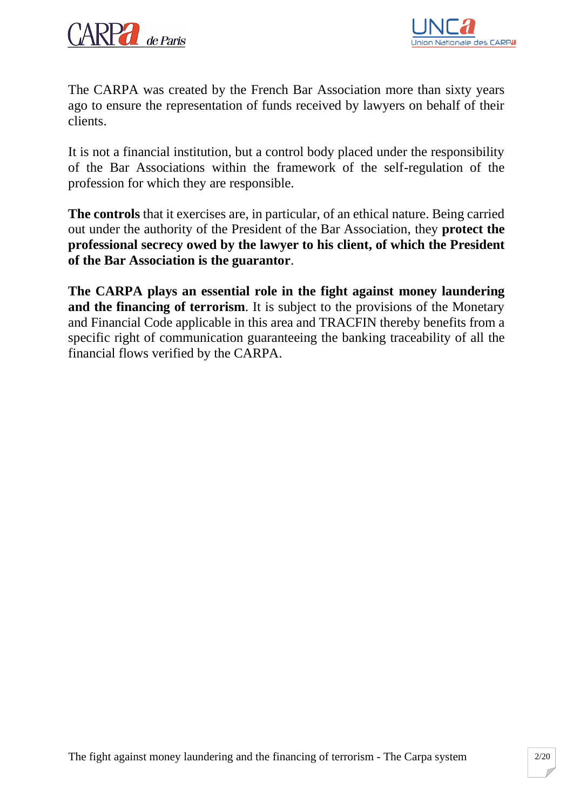



The CARPA was created by the French Bar Association more than sixty years ago to ensure the representation of funds received by lawyers on behalf of their clients.

It is not a financial institution, but a control body placed under the responsibility of the Bar Associations within the framework of the self-regulation of the profession for which they are responsible.

**The controls** that it exercises are, in particular, of an ethical nature. Being carried out under the authority of the President of the Bar Association, they **protect the professional secrecy owed by the lawyer to his client, of which the President of the Bar Association is the guarantor**.

**The CARPA plays an essential role in the fight against money laundering and the financing of terrorism**. It is subject to the provisions of the Monetary and Financial Code applicable in this area and TRACFIN thereby benefits from a specific right of communication guaranteeing the banking traceability of all the financial flows verified by the CARPA.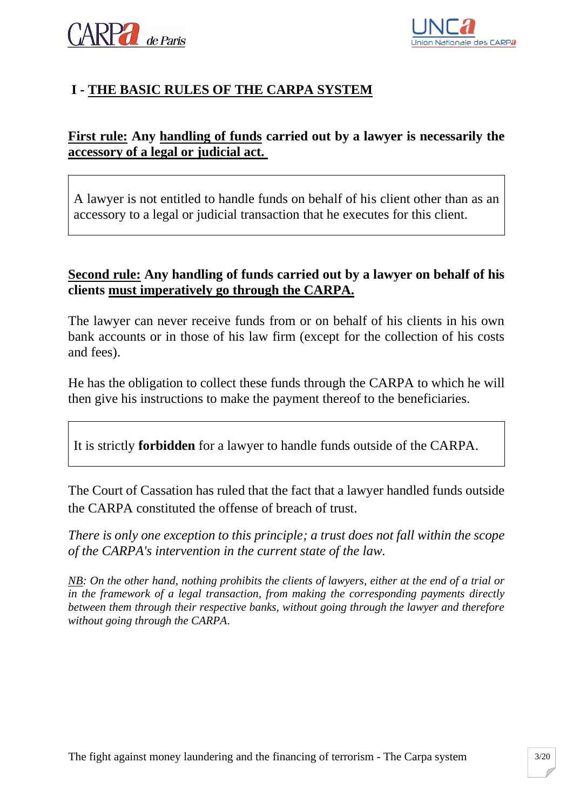



# **I - THE BASIC RULES OF THE CARPA SYSTEM**

# **First rule: Any handling of funds carried out by a lawyer is necessarily the accessory of a legal or judicial act.**

A lawyer is not entitled to handle funds on behalf of his client other than as an accessory to a legal or judicial transaction that he executes for this client.

# **Second rule: Any handling of funds carried out by a lawyer on behalf of his clients must imperatively go through the CARPA.**

The lawyer can never receive funds from or on behalf of his clients in his own bank accounts or in those of his law firm (except for the collection of his costs and fees).

He has the obligation to collect these funds through the CARPA to which he will then give his instructions to make the payment thereof to the beneficiaries.

It is strictly **forbidden** for a lawyer to handle funds outside of the CARPA.

The Court of Cassation has ruled that the fact that a lawyer handled funds outside the CARPA constituted the offense of breach of trust.

*There is only one exception to this principle; a trust does not fall within the scope of the CARPA's intervention in the current state of the law.*

*NB: On the other hand, nothing prohibits the clients of lawyers, either at the end of a trial or in the framework of a legal transaction, from making the corresponding payments directly between them through their respective banks, without going through the lawyer and therefore without going through the CARPA*.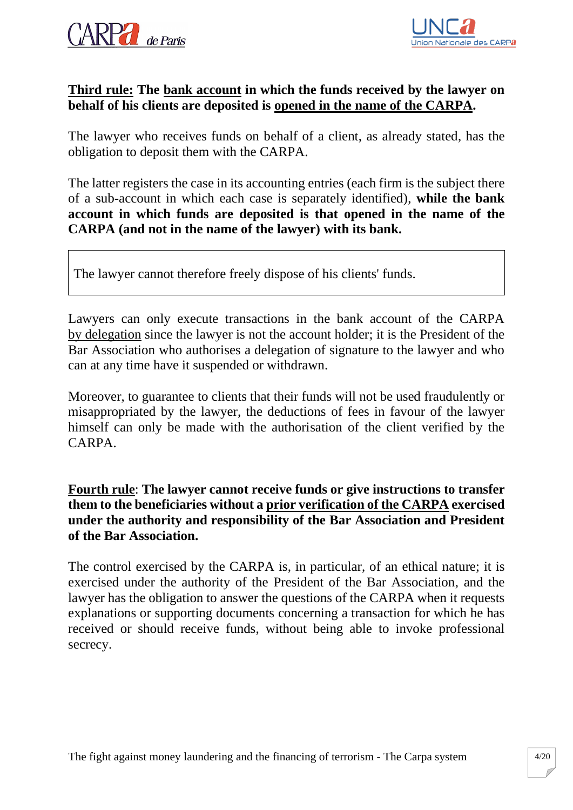



## **Third rule: The bank account in which the funds received by the lawyer on behalf of his clients are deposited is opened in the name of the CARPA.**

The lawyer who receives funds on behalf of a client, as already stated, has the obligation to deposit them with the CARPA.

The latter registers the case in its accounting entries (each firm is the subject there of a sub-account in which each case is separately identified), **while the bank account in which funds are deposited is that opened in the name of the CARPA (and not in the name of the lawyer) with its bank.**

The lawyer cannot therefore freely dispose of his clients' funds.

Lawyers can only execute transactions in the bank account of the CARPA by delegation since the lawyer is not the account holder; it is the President of the Bar Association who authorises a delegation of signature to the lawyer and who can at any time have it suspended or withdrawn.

Moreover, to guarantee to clients that their funds will not be used fraudulently or misappropriated by the lawyer, the deductions of fees in favour of the lawyer himself can only be made with the authorisation of the client verified by the CARPA.

**Fourth rule**: **The lawyer cannot receive funds or give instructions to transfer them to the beneficiaries without a prior verification of the CARPA exercised under the authority and responsibility of the Bar Association and President of the Bar Association.**

The control exercised by the CARPA is, in particular, of an ethical nature; it is exercised under the authority of the President of the Bar Association, and the lawyer has the obligation to answer the questions of the CARPA when it requests explanations or supporting documents concerning a transaction for which he has received or should receive funds, without being able to invoke professional secrecy.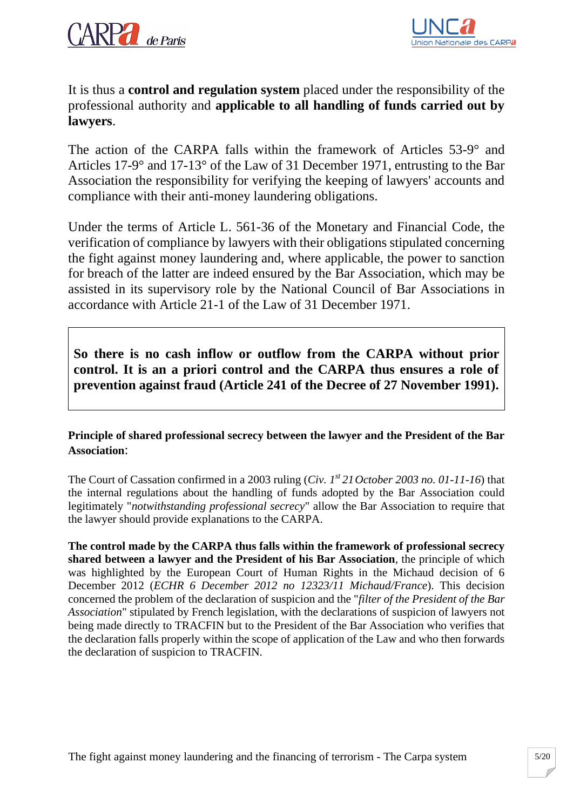



# It is thus a **control and regulation system** placed under the responsibility of the professional authority and **applicable to all handling of funds carried out by lawyers**.

The action of the CARPA falls within the framework of Articles 53-9° and Articles 17-9° and 17-13° of the Law of 31 December 1971, entrusting to the Bar Association the responsibility for verifying the keeping of lawyers' accounts and compliance with their anti-money laundering obligations.

Under the terms of Article L. 561-36 of the Monetary and Financial Code, the verification of compliance by lawyers with their obligations stipulated concerning the fight against money laundering and, where applicable, the power to sanction for breach of the latter are indeed ensured by the Bar Association, which may be assisted in its supervisory role by the National Council of Bar Associations in accordance with Article 21-1 of the Law of 31 December 1971.

**So there is no cash inflow or outflow from the CARPA without prior control. It is an a priori control and the CARPA thus ensures a role of prevention against fraud (Article 241 of the Decree of 27 November 1991).**

#### **Principle of shared professional secrecy between the lawyer and the President of the Bar Association**:

The Court of Cassation confirmed in a 2003 ruling (*Civ. 1 st 21October 2003 no. 01-11-16*) that the internal regulations about the handling of funds adopted by the Bar Association could legitimately "*notwithstanding professional secrecy*" allow the Bar Association to require that the lawyer should provide explanations to the CARPA.

**The control made by the CARPA thus falls within the framework of professional secrecy shared between a lawyer and the President of his Bar Association**, the principle of which was highlighted by the European Court of Human Rights in the Michaud decision of 6 December 2012 (*ECHR 6 December 2012 no 12323/11 Michaud/France*). This decision concerned the problem of the declaration of suspicion and the "*filter of the President of the Bar Association*" stipulated by French legislation, with the declarations of suspicion of lawyers not being made directly to TRACFIN but to the President of the Bar Association who verifies that the declaration falls properly within the scope of application of the Law and who then forwards the declaration of suspicion to TRACFIN.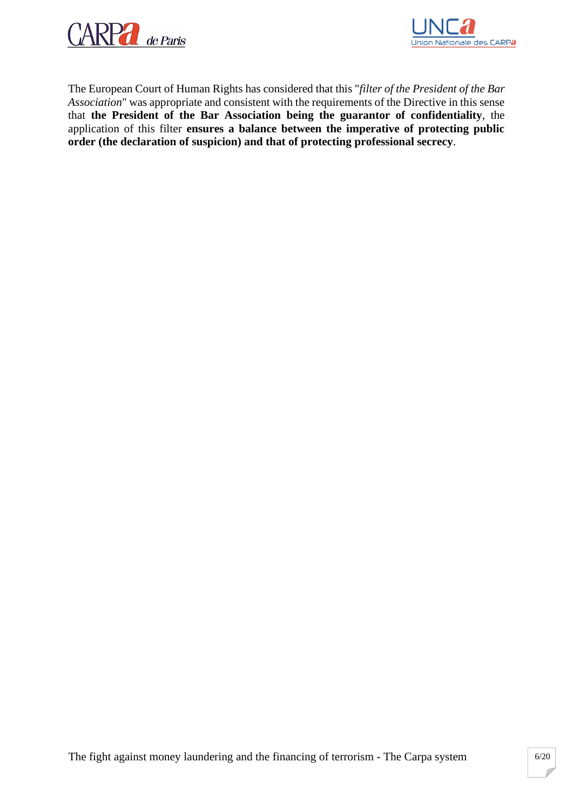



The European Court of Human Rights has considered that this "*filter of the President of the Bar Association*" was appropriate and consistent with the requirements of the Directive in this sense that **the President of the Bar Association being the guarantor of confidentiality**, the application of this filter **ensures a balance between the imperative of protecting public order (the declaration of suspicion) and that of protecting professional secrecy**.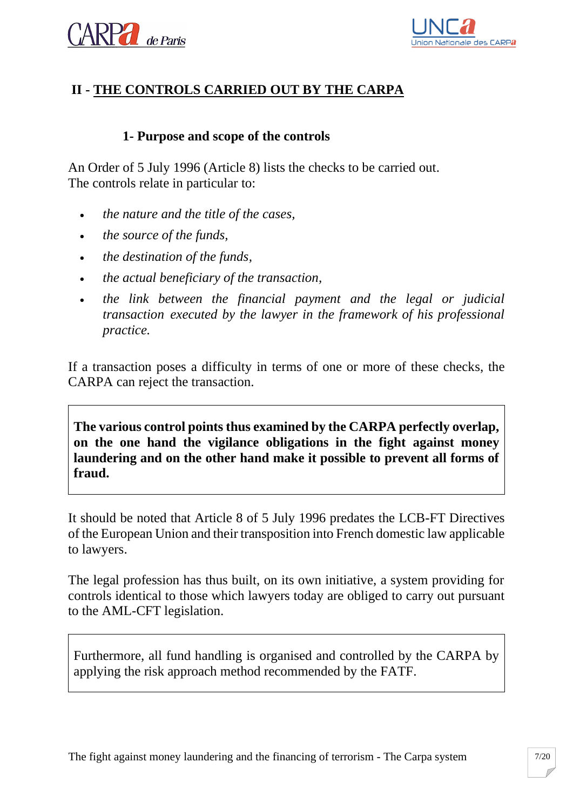



# **II - THE CONTROLS CARRIED OUT BY THE CARPA**

# **1- Purpose and scope of the controls**

An Order of 5 July 1996 (Article 8) lists the checks to be carried out. The controls relate in particular to:

- *the nature and the title of the cases,*
- *the source of the funds,*
- *the destination of the funds,*
- *the actual beneficiary of the transaction,*
- *the link between the financial payment and the legal or judicial transaction executed by the lawyer in the framework of his professional practice.*

If a transaction poses a difficulty in terms of one or more of these checks, the CARPA can reject the transaction.

**The various control points thus examined by the CARPA perfectly overlap, on the one hand the vigilance obligations in the fight against money laundering and on the other hand make it possible to prevent all forms of fraud.**

It should be noted that Article 8 of 5 July 1996 predates the LCB-FT Directives of the European Union and their transposition into French domestic law applicable to lawyers.

The legal profession has thus built, on its own initiative, a system providing for controls identical to those which lawyers today are obliged to carry out pursuant to the AML-CFT legislation.

Furthermore, all fund handling is organised and controlled by the CARPA by applying the risk approach method recommended by the FATF.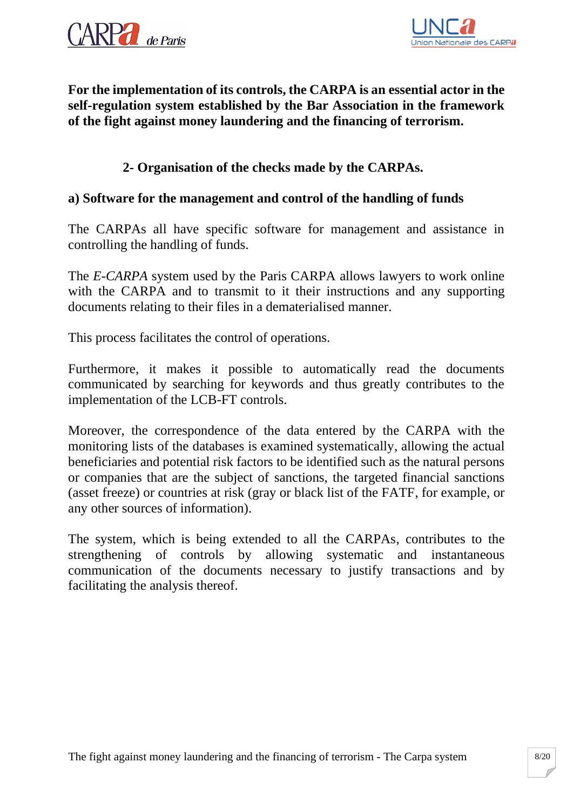



**For the implementation of its controls, the CARPA is an essential actor in the self-regulation system established by the Bar Association in the framework of the fight against money laundering and the financing of terrorism.**

# **2- Organisation of the checks made by the CARPAs.**

#### **a) Software for the management and control of the handling of funds**

The CARPAs all have specific software for management and assistance in controlling the handling of funds.

The *E-CARPA* system used by the Paris CARPA allows lawyers to work online with the CARPA and to transmit to it their instructions and any supporting documents relating to their files in a dematerialised manner.

This process facilitates the control of operations.

Furthermore, it makes it possible to automatically read the documents communicated by searching for keywords and thus greatly contributes to the implementation of the LCB-FT controls.

Moreover, the correspondence of the data entered by the CARPA with the monitoring lists of the databases is examined systematically, allowing the actual beneficiaries and potential risk factors to be identified such as the natural persons or companies that are the subject of sanctions, the targeted financial sanctions (asset freeze) or countries at risk (gray or black list of the FATF, for example, or any other sources of information).

The system, which is being extended to all the CARPAs, contributes to the strengthening of controls by allowing systematic and instantaneous communication of the documents necessary to justify transactions and by facilitating the analysis thereof.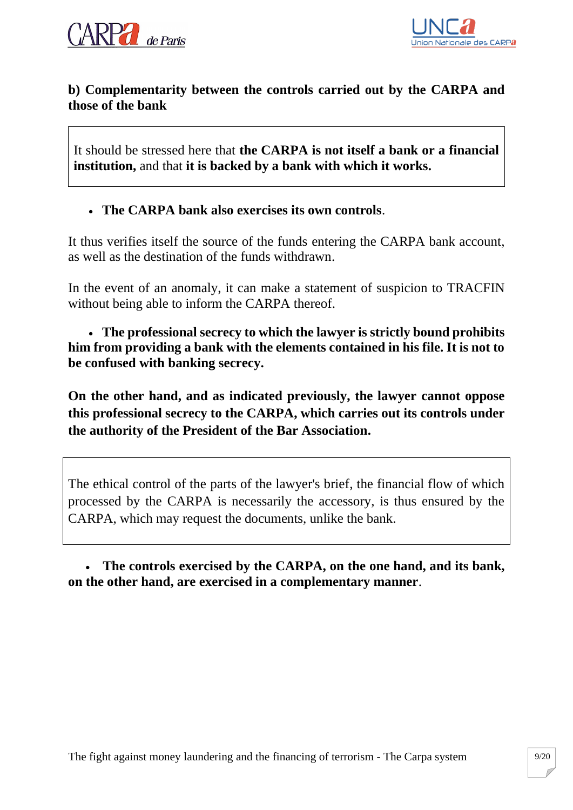



# **b) Complementarity between the controls carried out by the CARPA and those of the bank**

It should be stressed here that **the CARPA is not itself a bank or a financial institution,** and that **it is backed by a bank with which it works.**

• **The CARPA bank also exercises its own controls**.

It thus verifies itself the source of the funds entering the CARPA bank account, as well as the destination of the funds withdrawn.

In the event of an anomaly, it can make a statement of suspicion to TRACFIN without being able to inform the CARPA thereof.

• **The professional secrecy to which the lawyer is strictly bound prohibits him from providing a bank with the elements contained in his file. It is not to be confused with banking secrecy.**

**On the other hand, and as indicated previously, the lawyer cannot oppose this professional secrecy to the CARPA, which carries out its controls under the authority of the President of the Bar Association.**

The ethical control of the parts of the lawyer's brief, the financial flow of which processed by the CARPA is necessarily the accessory, is thus ensured by the CARPA, which may request the documents, unlike the bank.

• **The controls exercised by the CARPA, on the one hand, and its bank, on the other hand, are exercised in a complementary manner**.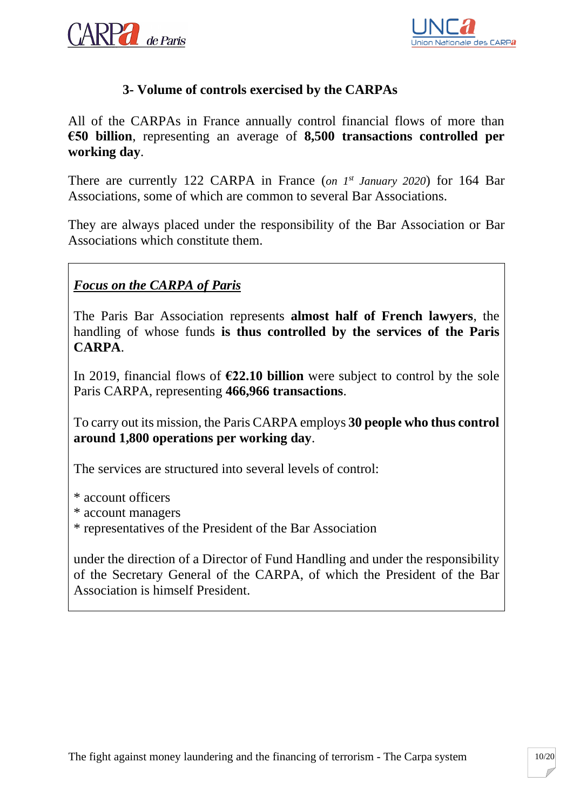



## **3- Volume of controls exercised by the CARPAs**

All of the CARPAs in France annually control financial flows of more than **€50 billion**, representing an average of **8,500 transactions controlled per working day**.

There are currently 122 CARPA in France (*on 1st January 2020*) for 164 Bar Associations, some of which are common to several Bar Associations.

They are always placed under the responsibility of the Bar Association or Bar Associations which constitute them.

# *Focus on the CARPA of Paris*

The Paris Bar Association represents **almost half of French lawyers**, the handling of whose funds **is thus controlled by the services of the Paris CARPA**.

In 2019, financial flows of **€22.10 billion** were subject to control by the sole Paris CARPA, representing **466,966 transactions**.

To carry out its mission, the Paris CARPA employs **30 people who thus control around 1,800 operations per working day**.

The services are structured into several levels of control:

\* account officers

- \* account managers
- \* representatives of the President of the Bar Association

under the direction of a Director of Fund Handling and under the responsibility of the Secretary General of the CARPA, of which the President of the Bar Association is himself President.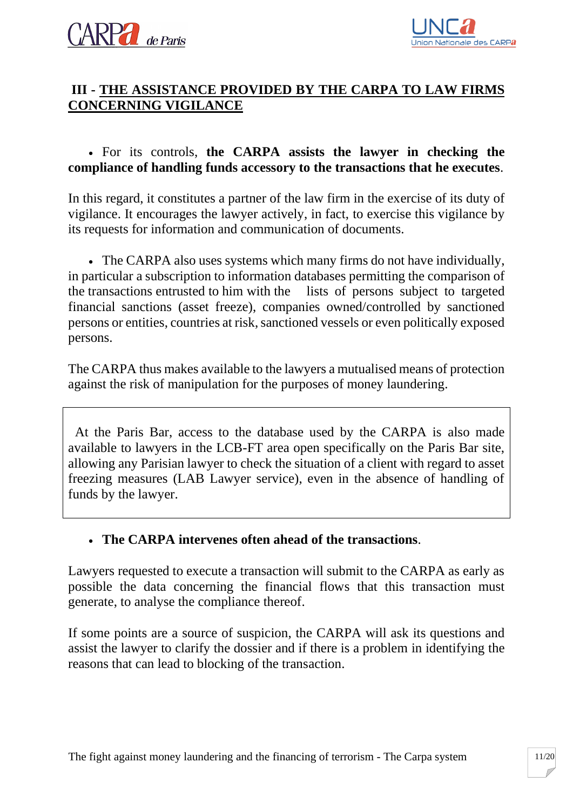



# **III - THE ASSISTANCE PROVIDED BY THE CARPA TO LAW FIRMS CONCERNING VIGILANCE**

## • For its controls, **the CARPA assists the lawyer in checking the compliance of handling funds accessory to the transactions that he executes**.

In this regard, it constitutes a partner of the law firm in the exercise of its duty of vigilance. It encourages the lawyer actively, in fact, to exercise this vigilance by its requests for information and communication of documents.

• The CARPA also uses systems which many firms do not have individually, in particular a subscription to information databases permitting the comparison of the transactions entrusted to him with the lists of persons subject to targeted financial sanctions (asset freeze), companies owned/controlled by sanctioned persons or entities, countries at risk, sanctioned vessels or even politically exposed persons.

The CARPA thus makes available to the lawyers a mutualised means of protection against the risk of manipulation for the purposes of money laundering.

At the Paris Bar, access to the database used by the CARPA is also made available to lawyers in the LCB-FT area open specifically on the Paris Bar site, allowing any Parisian lawyer to check the situation of a client with regard to asset freezing measures (LAB Lawyer service), even in the absence of handling of funds by the lawyer.

#### • **The CARPA intervenes often ahead of the transactions**.

Lawyers requested to execute a transaction will submit to the CARPA as early as possible the data concerning the financial flows that this transaction must generate, to analyse the compliance thereof.

If some points are a source of suspicion, the CARPA will ask its questions and assist the lawyer to clarify the dossier and if there is a problem in identifying the reasons that can lead to blocking of the transaction.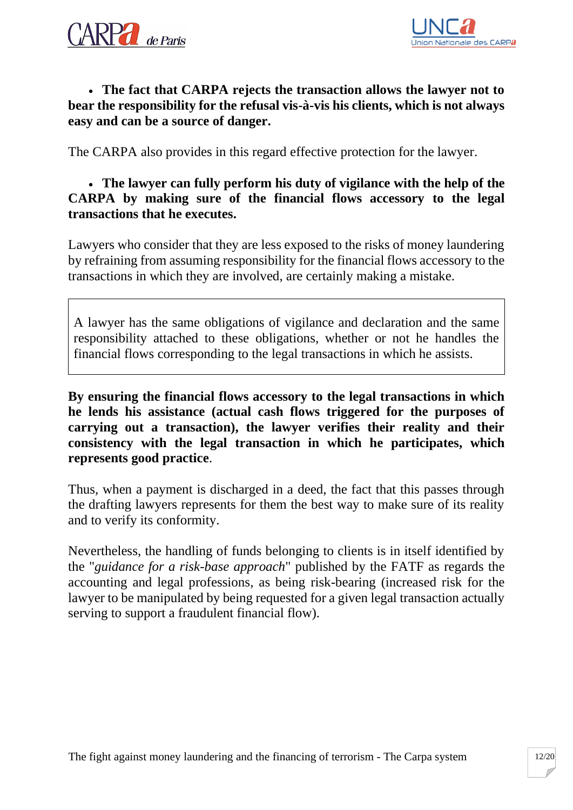



• **The fact that CARPA rejects the transaction allows the lawyer not to bear the responsibility for the refusal vis-à-vis his clients, which is not always easy and can be a source of danger.**

The CARPA also provides in this regard effective protection for the lawyer.

# • **The lawyer can fully perform his duty of vigilance with the help of the CARPA by making sure of the financial flows accessory to the legal transactions that he executes.**

Lawyers who consider that they are less exposed to the risks of money laundering by refraining from assuming responsibility for the financial flows accessory to the transactions in which they are involved, are certainly making a mistake.

A lawyer has the same obligations of vigilance and declaration and the same responsibility attached to these obligations, whether or not he handles the financial flows corresponding to the legal transactions in which he assists.

**By ensuring the financial flows accessory to the legal transactions in which he lends his assistance (actual cash flows triggered for the purposes of carrying out a transaction), the lawyer verifies their reality and their consistency with the legal transaction in which he participates, which represents good practice**.

Thus, when a payment is discharged in a deed, the fact that this passes through the drafting lawyers represents for them the best way to make sure of its reality and to verify its conformity.

Nevertheless, the handling of funds belonging to clients is in itself identified by the "*guidance for a risk-base approach*" published by the FATF as regards the accounting and legal professions, as being risk-bearing (increased risk for the lawyer to be manipulated by being requested for a given legal transaction actually serving to support a fraudulent financial flow).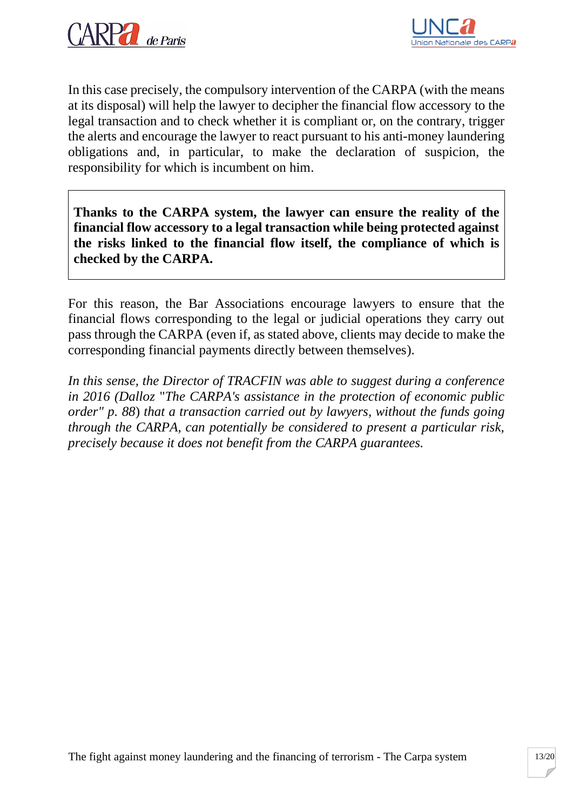



In this case precisely, the compulsory intervention of the CARPA (with the means at its disposal) will help the lawyer to decipher the financial flow accessory to the legal transaction and to check whether it is compliant or, on the contrary, trigger the alerts and encourage the lawyer to react pursuant to his anti-money laundering obligations and, in particular, to make the declaration of suspicion, the responsibility for which is incumbent on him.

**Thanks to the CARPA system, the lawyer can ensure the reality of the financial flow accessory to a legal transaction while being protected against the risks linked to the financial flow itself, the compliance of which is checked by the CARPA.**

For this reason, the Bar Associations encourage lawyers to ensure that the financial flows corresponding to the legal or judicial operations they carry out pass through the CARPA (even if, as stated above, clients may decide to make the corresponding financial payments directly between themselves).

*In this sense, the Director of TRACFIN was able to suggest during a conference in 2016 (Dalloz* "*The CARPA's assistance in the protection of economic public order" p. 88*) *that a transaction carried out by lawyers, without the funds going through the CARPA, can potentially be considered to present a particular risk, precisely because it does not benefit from the CARPA guarantees.*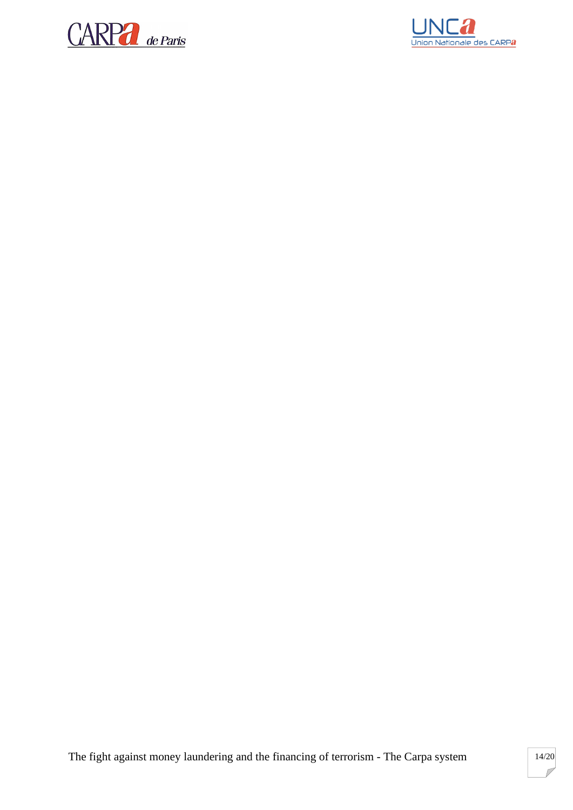



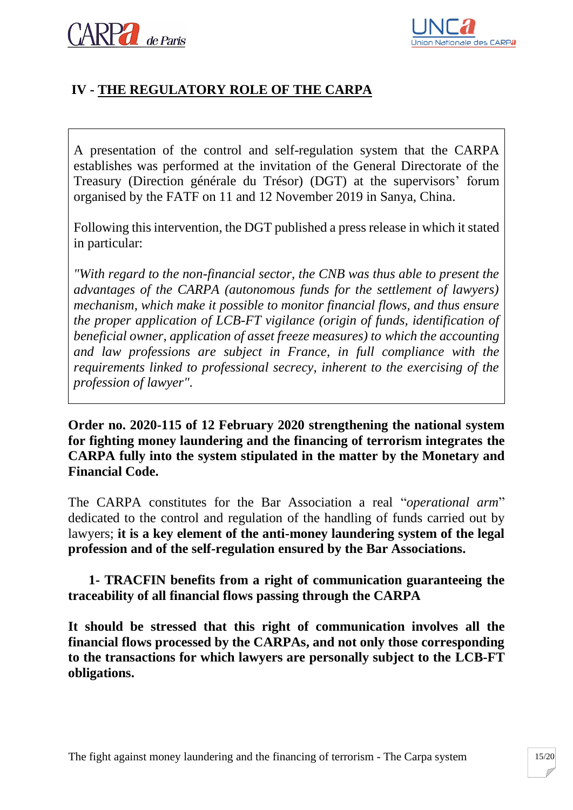



# **IV - THE REGULATORY ROLE OF THE CARPA**

A presentation of the control and self-regulation system that the CARPA establishes was performed at the invitation of the General Directorate of the Treasury (Direction générale du Trésor) (DGT) at the supervisors' forum organised by the FATF on 11 and 12 November 2019 in Sanya, China.

Following this intervention, the DGT published a press release in which it stated in particular:

*"With regard to the non-financial sector, the CNB was thus able to present the advantages of the CARPA (autonomous funds for the settlement of lawyers) mechanism, which make it possible to monitor financial flows, and thus ensure the proper application of LCB-FT vigilance (origin of funds, identification of beneficial owner, application of asset freeze measures) to which the accounting and law professions are subject in France, in full compliance with the requirements linked to professional secrecy, inherent to the exercising of the profession of lawyer"*.

**Order no. 2020-115 of 12 February 2020 strengthening the national system for fighting money laundering and the financing of terrorism integrates the CARPA fully into the system stipulated in the matter by the Monetary and Financial Code.**

The CARPA constitutes for the Bar Association a real "*operational arm*" dedicated to the control and regulation of the handling of funds carried out by lawyers; **it is a key element of the anti-money laundering system of the legal profession and of the self-regulation ensured by the Bar Associations.**

**1- TRACFIN benefits from a right of communication guaranteeing the traceability of all financial flows passing through the CARPA**

**It should be stressed that this right of communication involves all the financial flows processed by the CARPAs, and not only those corresponding to the transactions for which lawyers are personally subject to the LCB-FT obligations.**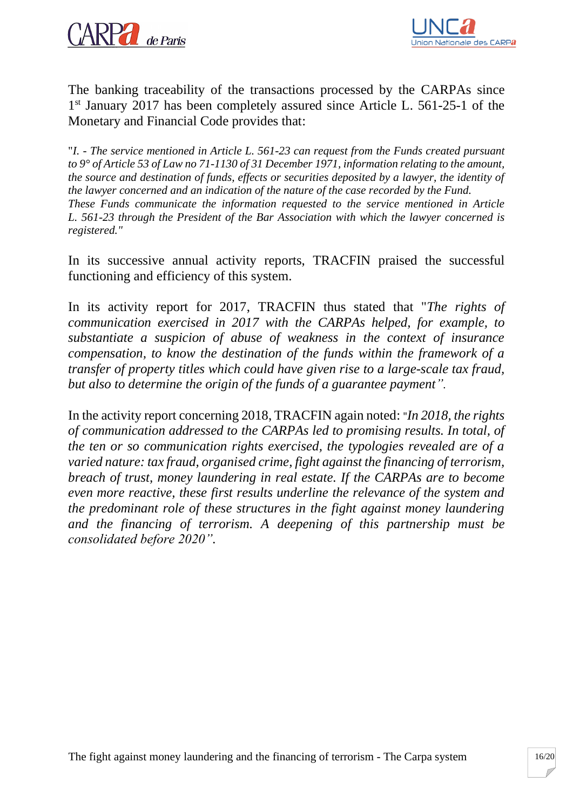



The banking traceability of the transactions processed by the CARPAs since 1<sup>st</sup> January 2017 has been completely assured since Article L. 561-25-1 of the Monetary and Financial Code provides that:

"*I. - The service mentioned in Article L. 561-23 can request from the Funds created pursuant to 9° of Article 53 of Law no 71-1130 of 31 December 1971, information relating to the amount, the source and destination of funds, effects or securities deposited by a lawyer, the identity of the lawyer concerned and an indication of the nature of the case recorded by the Fund. These Funds communicate the information requested to the service mentioned in Article L. 561-23 through the President of the Bar Association with which the lawyer concerned is registered."*

In its successive annual activity reports, TRACFIN praised the successful functioning and efficiency of this system.

In its activity report for 2017, TRACFIN thus stated that "*The rights of communication exercised in 2017 with the CARPAs helped, for example, to substantiate a suspicion of abuse of weakness in the context of insurance compensation, to know the destination of the funds within the framework of a transfer of property titles which could have given rise to a large-scale tax fraud, but also to determine the origin of the funds of a guarantee payment".*

In the activity report concerning 2018, TRACFIN again noted: "*In 2018, the rights of communication addressed to the CARPAs led to promising results. In total, of the ten or so communication rights exercised, the typologies revealed are of a varied nature: tax fraud, organised crime, fight against the financing of terrorism, breach of trust, money laundering in real estate. If the CARPAs are to become even more reactive, these first results underline the relevance of the system and the predominant role of these structures in the fight against money laundering and the financing of terrorism. A deepening of this partnership must be consolidated before 2020".*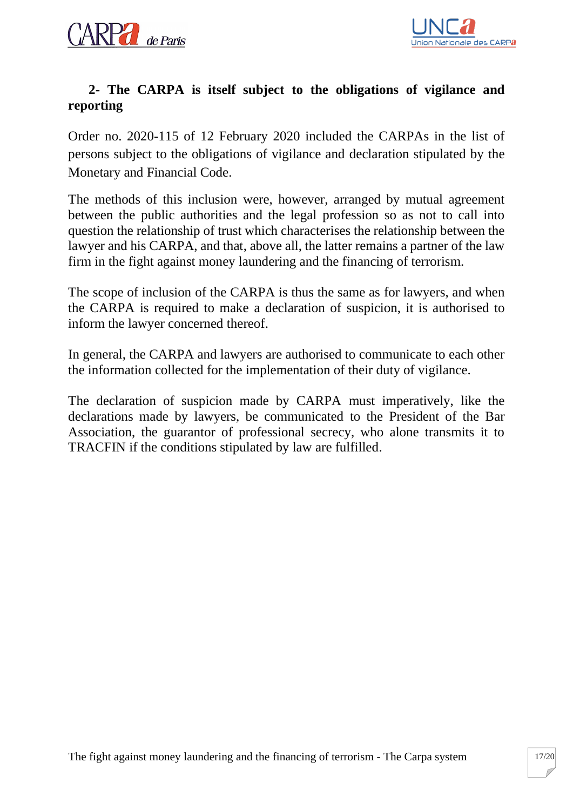



# **2- The CARPA is itself subject to the obligations of vigilance and reporting**

Order no. 2020-115 of 12 February 2020 included the CARPAs in the list of persons subject to the obligations of vigilance and declaration stipulated by the Monetary and Financial Code.

The methods of this inclusion were, however, arranged by mutual agreement between the public authorities and the legal profession so as not to call into question the relationship of trust which characterises the relationship between the lawyer and his CARPA, and that, above all, the latter remains a partner of the law firm in the fight against money laundering and the financing of terrorism.

The scope of inclusion of the CARPA is thus the same as for lawyers, and when the CARPA is required to make a declaration of suspicion, it is authorised to inform the lawyer concerned thereof.

In general, the CARPA and lawyers are authorised to communicate to each other the information collected for the implementation of their duty of vigilance.

The declaration of suspicion made by CARPA must imperatively, like the declarations made by lawyers, be communicated to the President of the Bar Association, the guarantor of professional secrecy, who alone transmits it to TRACFIN if the conditions stipulated by law are fulfilled.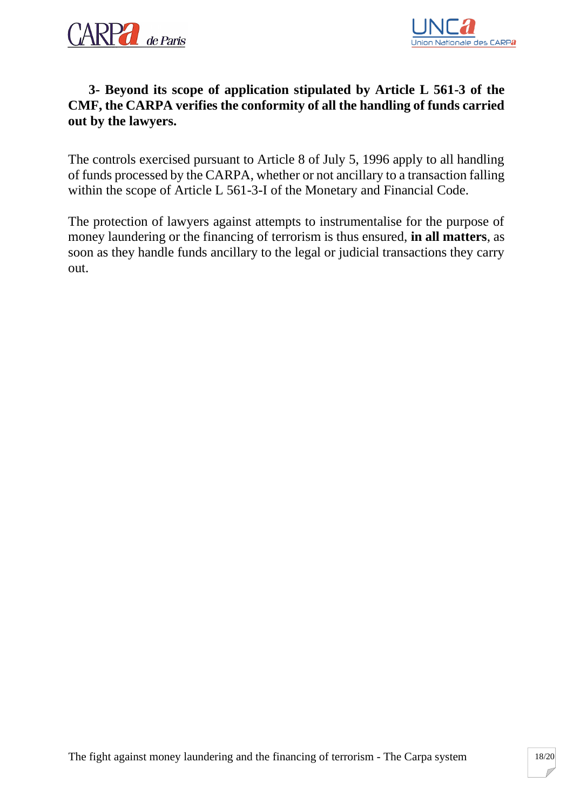



# **3- Beyond its scope of application stipulated by Article L 561-3 of the CMF, the CARPA verifies the conformity of all the handling of funds carried out by the lawyers.**

The controls exercised pursuant to Article 8 of July 5, 1996 apply to all handling of funds processed by the CARPA, whether or not ancillary to a transaction falling within the scope of Article L 561-3-I of the Monetary and Financial Code.

The protection of lawyers against attempts to instrumentalise for the purpose of money laundering or the financing of terrorism is thus ensured, **in all matters**, as soon as they handle funds ancillary to the legal or judicial transactions they carry out.